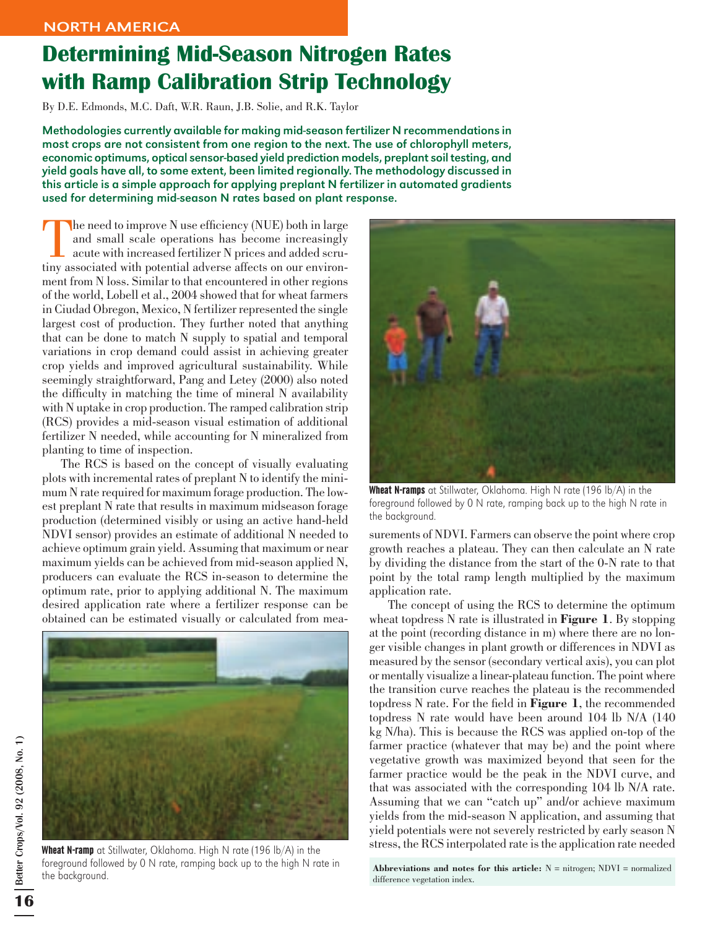## Determining Mid-Season Nitrogen Rates with Ramp Calibration Strip Technology

By D.E. Edmonds, M.C. Daft, W.R. Raun, J.B. Solie, and R.K. Taylor

Methodologies currently available for making mid-season fertilizer N recommendations in most crops are not consistent from one region to the next. The use of chlorophyll meters, economic optimums, optical sensor-based yield prediction models, preplant soil testing, and yield goals have all, to some extent, been limited regionally. The methodology discussed in this article is a simple approach for applying preplant N fertilizer in automated gradients used for determining mid-season N rates based on plant response.

The need to improve  $N$  use efficiency (NUE) both in large and small scale operations has become increasingly acute with increased fertilizer N prices and added scrutiny associated with potential adverse affects on our environment from N loss. Similar to that encountered in other regions of the world, Lobell et al., 2004 showed that for wheat farmers in Ciudad Obregon, Mexico, N fertilizer represented the single largest cost of production. They further noted that anything that can be done to match N supply to spatial and temporal variations in crop demand could assist in achieving greater crop yields and improved agricultural sustainability. While seemingly straightforward, Pang and Letey (2000) also noted the difficulty in matching the time of mineral N availability with N uptake in crop production. The ramped calibration strip (RCS) provides a mid-season visual estimation of additional fertilizer N needed, while accounting for N mineralized from planting to time of inspection.

The RCS is based on the concept of visually evaluating plots with incremental rates of preplant N to identify the minimum N rate required for maximum forage production. The lowest preplant N rate that results in maximum midseason forage production (determined visibly or using an active hand-held NDVI sensor) provides an estimate of additional N needed to achieve optimum grain yield. Assuming that maximum or near maximum yields can be achieved from mid-season applied N, producers can evaluate the RCS in-season to determine the optimum rate, prior to applying additional N. The maximum desired application rate where a fertilizer response can be obtained can be estimated visually or calculated from mea-



Wheat N-ramp at Stillwater, Oklahoma. High N rate (196 lb/A) in the foreground followed by 0 N rate, ramping back up to the high N rate in the background.



Wheat N-ramps at Stillwater, Oklahoma. High N rate (196 lb/A) in the foreground followed by 0 N rate, ramping back up to the high N rate in the background.

surements of NDVI. Farmers can observe the point where crop growth reaches a plateau. They can then calculate an N rate by dividing the distance from the start of the 0-N rate to that point by the total ramp length multiplied by the maximum application rate.

The concept of using the RCS to determine the optimum wheat topdress N rate is illustrated in **Figure 1**. By stopping at the point (recording distance in m) where there are no longer visible changes in plant growth or differences in NDVI as measured by the sensor (secondary vertical axis), you can plot or mentally visualize a linear-plateau function. The point where the transition curve reaches the plateau is the recommended topdress N rate. For the field in **Figure 1**, the recommended topdress N rate would have been around 104 lb N/A (140 kg N/ha). This is because the RCS was applied on-top of the farmer practice (whatever that may be) and the point where vegetative growth was maximized beyond that seen for the farmer practice would be the peak in the NDVI curve, and that was associated with the corresponding 104 lb N/A rate. Assuming that we can "catch up" and/or achieve maximum yields from the mid-season N application, and assuming that yield potentials were not severely restricted by early season N stress, the RCS interpolated rate is the application rate needed

Abbreviations and notes for this article:  $N =$  nitrogen;  $NDVI =$  normalized difference vegetation index.